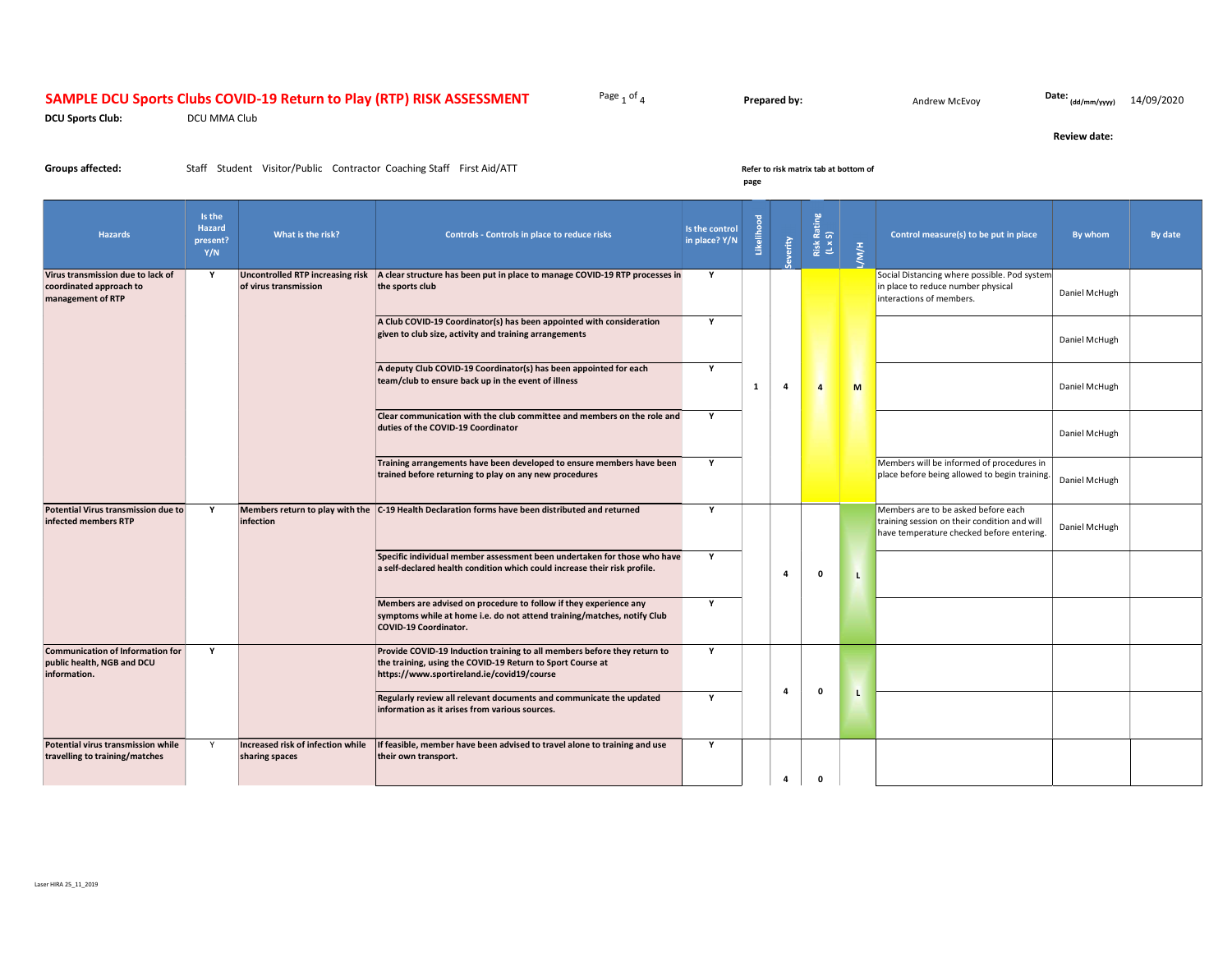# SAMPLE DCU Sports Clubs COVID-19 Return to Play (RTP) RISK ASSESSMENT Page 1 of 4

**Prepared by:** Andrew McEvoy

Date: (dd/mm/yyyy) 14/09/2020

Review date:

DCU Sports Club: DCU MMA Club

Groups affected: Staff Student Visitor/Public Contractor Coaching Staff First Aid/ATT Refer to risk matrix tab at bottom of

## page

| <b>Hazards</b>                                                                        | Is the<br><b>Hazard</b><br>present?<br>Y/N | What is the risk?                                   | Controls - Controls in place to reduce risks                                                                                                                                         | Is the control<br>in place? Y/N |   | erity          | Risk Rating<br>(L x S) | 10M          | Control measure(s) to be put in place                                                                                            | By whom       | By date |
|---------------------------------------------------------------------------------------|--------------------------------------------|-----------------------------------------------------|--------------------------------------------------------------------------------------------------------------------------------------------------------------------------------------|---------------------------------|---|----------------|------------------------|--------------|----------------------------------------------------------------------------------------------------------------------------------|---------------|---------|
| Virus transmission due to lack of<br>coordinated approach to<br>management of RTP     | Y                                          | of virus transmission                               | Uncontrolled RTP increasing risk   A clear structure has been put in place to manage COVID-19 RTP processes in<br>the sports club                                                    | Y                               |   |                |                        |              | Social Distancing where possible. Pod system<br>in place to reduce number physical<br>interactions of members.                   | Daniel McHugh |         |
|                                                                                       |                                            |                                                     | A Club COVID-19 Coordinator(s) has been appointed with consideration<br>given to club size, activity and training arrangements                                                       | $\mathbf{v}$                    |   |                |                        |              |                                                                                                                                  | Daniel McHugh |         |
|                                                                                       |                                            |                                                     | A deputy Club COVID-19 Coordinator(s) has been appointed for each<br>team/club to ensure back up in the event of illness                                                             | Y                               | 1 | $\overline{a}$ | $\overline{4}$         | M            |                                                                                                                                  | Daniel McHugh |         |
|                                                                                       |                                            |                                                     | Clear communication with the club committee and members on the role and<br>duties of the COVID-19 Coordinator                                                                        | $\mathbf{Y}$                    |   |                |                        |              |                                                                                                                                  | Daniel McHugh |         |
|                                                                                       |                                            |                                                     | Training arrangements have been developed to ensure members have been<br>trained before returning to play on any new procedures                                                      | $\mathbf{Y}$                    |   |                |                        |              | Members will be informed of procedures in<br>place before being allowed to begin training.                                       | Daniel McHugh |         |
| Potential Virus transmission due to<br>infected members RTP                           | Y                                          | infection                                           | Members return to play with the C-19 Health Declaration forms have been distributed and returned                                                                                     | Y                               |   |                |                        |              | Members are to be asked before each<br>training session on their condition and will<br>have temperature checked before entering. | Daniel McHugh |         |
|                                                                                       |                                            |                                                     | Specific individual member assessment been undertaken for those who have<br>a self-declared health condition which could increase their risk profile.                                | Y                               |   | $\overline{a}$ | $\mathbf{0}$           | $\mathbf{I}$ |                                                                                                                                  |               |         |
|                                                                                       |                                            |                                                     | Members are advised on procedure to follow if they experience any<br>symptoms while at home i.e. do not attend training/matches, notify Club<br><b>COVID-19 Coordinator.</b>         | Y                               |   |                |                        |              |                                                                                                                                  |               |         |
| <b>Communication of Information for</b><br>public health, NGB and DCU<br>information. | Y                                          |                                                     | Provide COVID-19 Induction training to all members before they return to<br>the training, using the COVID-19 Return to Sport Course at<br>https://www.sportireland.ie/covid19/course | $\mathbf{Y}$                    |   |                |                        |              |                                                                                                                                  |               |         |
|                                                                                       |                                            |                                                     | Regularly review all relevant documents and communicate the updated<br>information as it arises from various sources.                                                                | Y                               |   | $\overline{a}$ | $\Omega$               | $\mathbf{I}$ |                                                                                                                                  |               |         |
| Potential virus transmission while<br>travelling to training/matches                  | Y                                          | Increased risk of infection while<br>sharing spaces | If feasible, member have been advised to travel alone to training and use<br>their own transport.                                                                                    | $\mathbf{Y}$                    |   | $\overline{a}$ | $\mathbf{0}$           |              |                                                                                                                                  |               |         |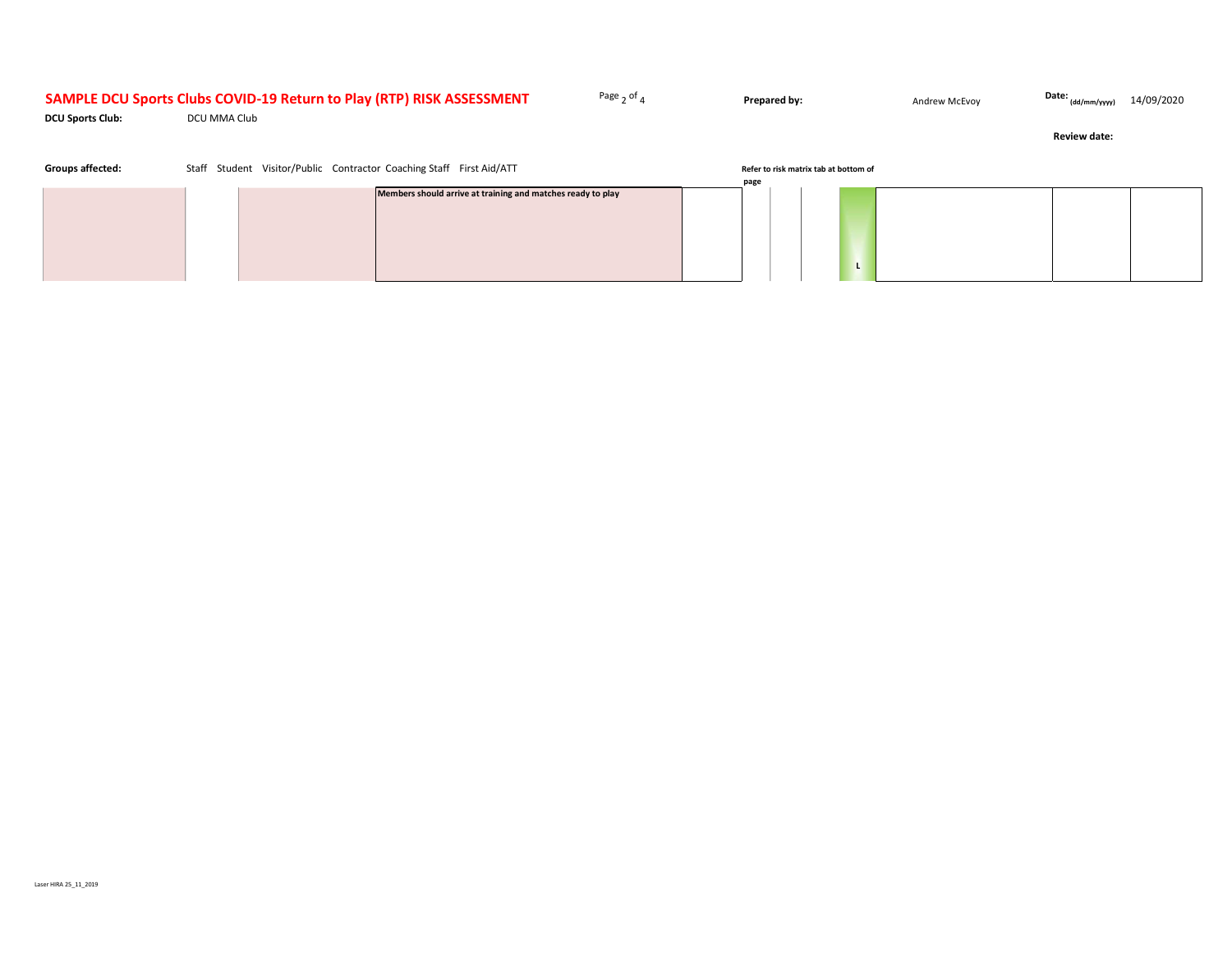# SAMPLE DCU Sports Clubs COVID-19 Return to Play (RTP) RISK ASSESSMENT Page 2 of 4

**Prepared by:** Andrew McEvoy

Date: (dd/mm/yyyy) 14/09/2020

DCU Sports Club: DCU MMA Club

Review date:

|  | Refer to risk matrix tab at bottom of |      | Staff Student Visitor/Public Contractor Coaching Staff First Aid/ATT | <b>Groups affected:</b> |  |  |  |
|--|---------------------------------------|------|----------------------------------------------------------------------|-------------------------|--|--|--|
|  |                                       | page |                                                                      |                         |  |  |  |
|  |                                       |      | Members should arrive at training and matches ready to play          |                         |  |  |  |
|  |                                       |      |                                                                      |                         |  |  |  |
|  |                                       |      |                                                                      |                         |  |  |  |
|  |                                       |      |                                                                      |                         |  |  |  |
|  |                                       |      |                                                                      |                         |  |  |  |
|  |                                       |      |                                                                      |                         |  |  |  |
|  |                                       |      |                                                                      |                         |  |  |  |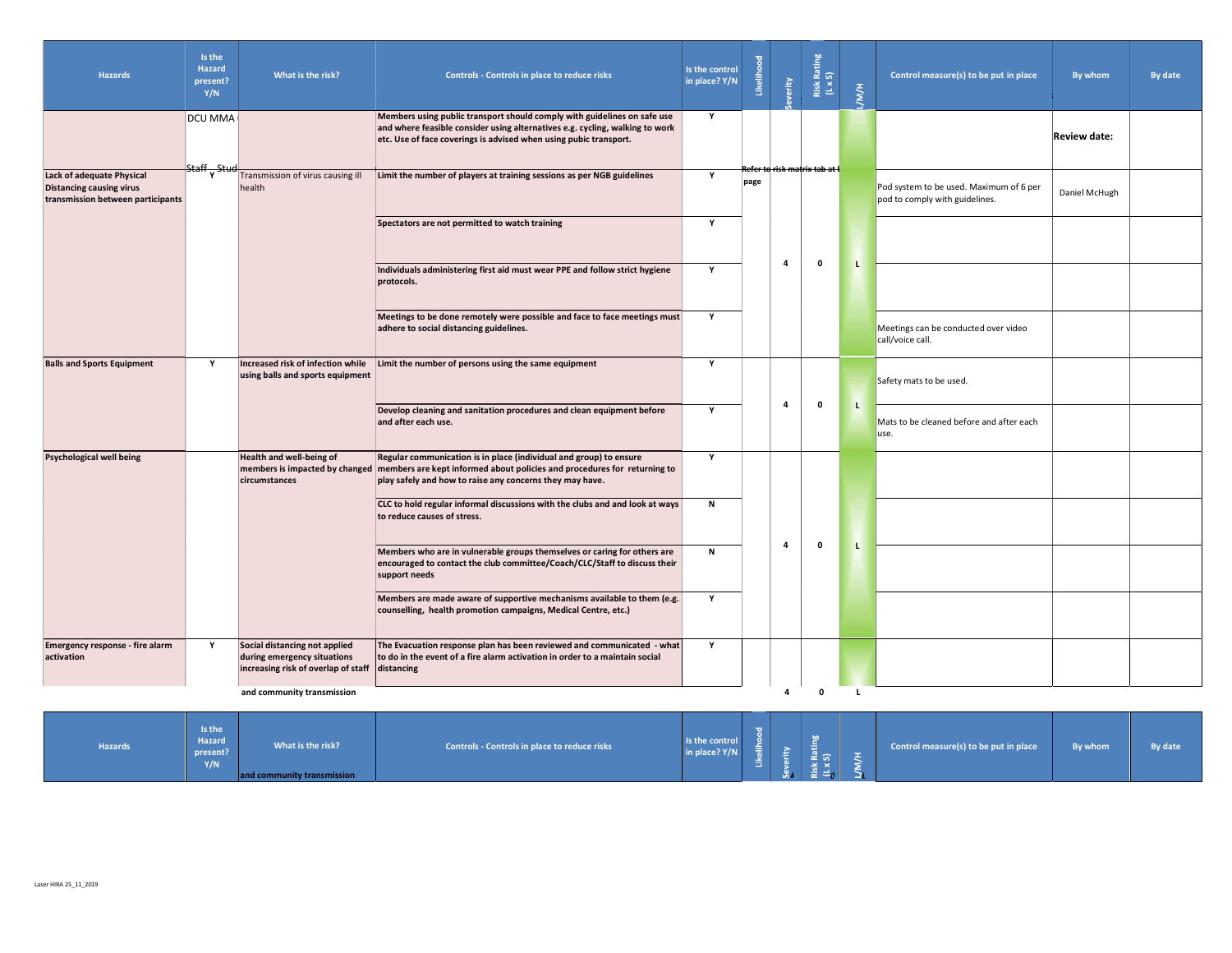| <b>Hazards</b>                                                                                           | Is the<br>Hazard<br>present?<br>Y/N | What is the risk?                                                                                   | Controls - Controls in place to reduce risks                                                                                                                                                                                              | Is the control<br>in place? Y/N                                                                                                                                        | likelih | verity                  | Risk Rating<br>(L x S)        | <b>H/M/H</b>                                                                                                | Control measure(s) to be put in place                                     | By whom             | By date |  |  |  |  |  |
|----------------------------------------------------------------------------------------------------------|-------------------------------------|-----------------------------------------------------------------------------------------------------|-------------------------------------------------------------------------------------------------------------------------------------------------------------------------------------------------------------------------------------------|------------------------------------------------------------------------------------------------------------------------------------------------------------------------|---------|-------------------------|-------------------------------|-------------------------------------------------------------------------------------------------------------|---------------------------------------------------------------------------|---------------------|---------|--|--|--|--|--|
|                                                                                                          | DCU MMA<br>Staff Stuc               |                                                                                                     | Members using public transport should comply with guidelines on safe use<br>and where feasible consider using alternatives e.g. cycling, walking to work<br>etc. Use of face coverings is advised when using pubic transport.             | Y                                                                                                                                                                      |         |                         | Refer to risk matrix tab at l |                                                                                                             |                                                                           | <b>Review date:</b> |         |  |  |  |  |  |
| <b>Lack of adequate Physical</b><br><b>Distancing causing virus</b><br>transmission between participants | v.                                  | Transmission of virus causing ill<br>health                                                         | Limit the number of players at training sessions as per NGB guidelines                                                                                                                                                                    | Y                                                                                                                                                                      | page    |                         |                               |                                                                                                             | Pod system to be used. Maximum of 6 per<br>pod to comply with guidelines. | Daniel McHugh       |         |  |  |  |  |  |
|                                                                                                          |                                     |                                                                                                     | Spectators are not permitted to watch training                                                                                                                                                                                            | Y                                                                                                                                                                      |         |                         |                               |                                                                                                             |                                                                           |                     |         |  |  |  |  |  |
|                                                                                                          |                                     |                                                                                                     | Individuals administering first aid must wear PPE and follow strict hygiene<br>protocols.                                                                                                                                                 | Y                                                                                                                                                                      |         | $\overline{4}$          | $\mathbf 0$                   | L                                                                                                           |                                                                           |                     |         |  |  |  |  |  |
|                                                                                                          |                                     |                                                                                                     | Meetings to be done remotely were possible and face to face meetings must<br>adhere to social distancing guidelines.                                                                                                                      | Y                                                                                                                                                                      |         |                         |                               |                                                                                                             | Meetings can be conducted over video<br>call/voice call.                  |                     |         |  |  |  |  |  |
| <b>Balls and Sports Equipment</b>                                                                        | Y                                   | Increased risk of infection while<br>using balls and sports equipment                               | Limit the number of persons using the same equipment                                                                                                                                                                                      | Y                                                                                                                                                                      |         |                         | $\pmb{0}$                     |                                                                                                             | Safety mats to be used.                                                   |                     |         |  |  |  |  |  |
|                                                                                                          |                                     |                                                                                                     | Develop cleaning and sanitation procedures and clean equipment before<br>and after each use.                                                                                                                                              | $\mathbf{Y}$                                                                                                                                                           |         | $\overline{\mathbf{a}}$ |                               | L.                                                                                                          | Mats to be cleaned before and after each<br>use.                          |                     |         |  |  |  |  |  |
| <b>Psychological well being</b>                                                                          |                                     | <b>Health and well-being of</b><br>circumstances                                                    | Regular communication is in place (individual and group) to ensure<br>members is impacted by changed members are kept informed about policies and procedures for returning to<br>play safely and how to raise any concerns they may have. | Y                                                                                                                                                                      |         |                         |                               |                                                                                                             |                                                                           |                     |         |  |  |  |  |  |
|                                                                                                          |                                     |                                                                                                     |                                                                                                                                                                                                                                           |                                                                                                                                                                        |         |                         |                               | CLC to hold regular informal discussions with the clubs and and look at ways<br>to reduce causes of stress. | N                                                                         |                     |         |  |  |  |  |  |
|                                                                                                          |                                     |                                                                                                     |                                                                                                                                                                                                                                           | Members who are in vulnerable groups themselves or caring for others are<br>encouraged to contact the club committee/Coach/CLC/Staff to discuss their<br>support needs | N       |                         | $\overline{\mathbf{a}}$       | $\pmb{\mathsf{o}}$                                                                                          | L                                                                         |                     |         |  |  |  |  |  |
|                                                                                                          |                                     |                                                                                                     | Members are made aware of supportive mechanisms available to them (e.g.<br>counselling, health promotion campaigns, Medical Centre, etc.)                                                                                                 | Y                                                                                                                                                                      |         |                         |                               |                                                                                                             |                                                                           |                     |         |  |  |  |  |  |
| Emergency response - fire alarm<br>activation                                                            | Y                                   | Social distancing not applied<br>during emergency situations<br>increasing risk of overlap of staff | The Evacuation response plan has been reviewed and communicated - what<br>to do in the event of a fire alarm activation in order to a maintain social<br>distancing                                                                       | Y                                                                                                                                                                      |         |                         |                               |                                                                                                             |                                                                           |                     |         |  |  |  |  |  |
|                                                                                                          |                                     | and community transmission                                                                          |                                                                                                                                                                                                                                           |                                                                                                                                                                        |         | 4                       | $\mathbf 0$                   | $\mathbf{L}$                                                                                                |                                                                           |                     |         |  |  |  |  |  |

| <b>Hazards</b> | Is the<br>Hazard<br>present?<br>Y/N | What is the risk?<br>and community transmission | Controls - Controls in place to reduce risks | Is the control<br>in place? Y/N | - - | ம<br>- 15 -<br>$\frac{1}{2}$ $\times$<br>\# = } | Control measure(s) to be put in place | By whom | By date |
|----------------|-------------------------------------|-------------------------------------------------|----------------------------------------------|---------------------------------|-----|-------------------------------------------------|---------------------------------------|---------|---------|
|                |                                     |                                                 |                                              |                                 |     |                                                 |                                       |         |         |